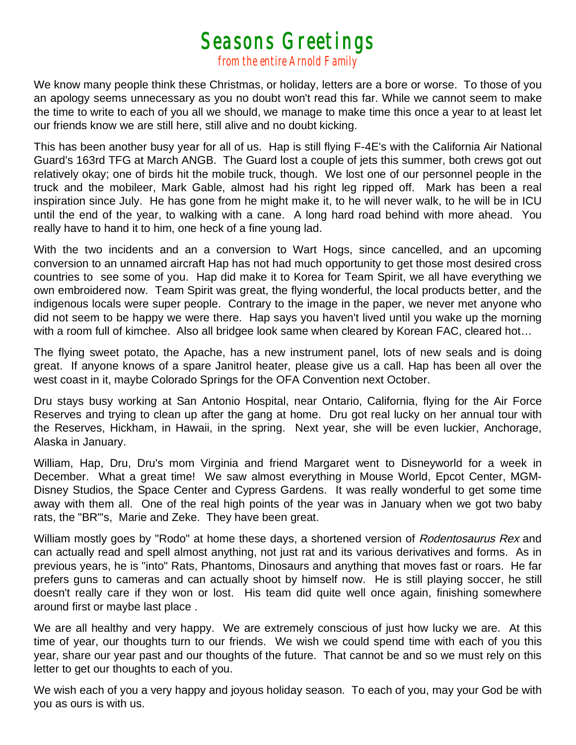## *Seasons Greetings from the entire Arnold Family*

We know many people think these Christmas, or holiday, letters are a bore or worse. To those of you an apology seems unnecessary as you no doubt won't read this far. While we cannot seem to make the time to write to each of you all we should, we manage to make time this once a year to at least let our friends know we are still here, still alive and no doubt kicking.

This has been another busy year for all of us. Hap is still flying F-4E's with the California Air National Guard's 163rd TFG at March ANGB. The Guard lost a couple of jets this summer, both crews got out relatively okay; one of birds hit the mobile truck, though. We lost one of our personnel people in the truck and the mobileer, Mark Gable, almost had his right leg ripped off. Mark has been a real inspiration since July. He has gone from he might make it, to he will never walk, to he will be in ICU until the end of the year, to walking with a cane. A long hard road behind with more ahead. You really have to hand it to him, one heck of a fine young lad.

With the two incidents and an a conversion to Wart Hogs, since cancelled, and an upcoming conversion to an unnamed aircraft Hap has not had much opportunity to get those most desired cross countries to see some of you. Hap did make it to Korea for Team Spirit, we all have everything we own embroidered now. Team Spirit was great, the flying wonderful, the local products better, and the indigenous locals were super people. Contrary to the image in the paper, we never met anyone who did not seem to be happy we were there. Hap says you haven't lived until you wake up the morning with a room full of kimchee. Also all bridgee look same when cleared by Korean FAC, cleared hot…

The flying sweet potato, the Apache, has a new instrument panel, lots of new seals and is doing great. If anyone knows of a spare Janitrol heater, please give us a call. Hap has been all over the west coast in it, maybe Colorado Springs for the OFA Convention next October.

Dru stays busy working at San Antonio Hospital, near Ontario, California, flying for the Air Force Reserves and trying to clean up after the gang at home. Dru got real lucky on her annual tour with the Reserves, Hickham, in Hawaii, in the spring. Next year, she will be even luckier, Anchorage, Alaska in January.

William, Hap, Dru, Dru's mom Virginia and friend Margaret went to Disneyworld for a week in December. What a great time! We saw almost everything in Mouse World, Epcot Center, MGM-Disney Studios, the Space Center and Cypress Gardens. It was really wonderful to get some time away with them all. One of the real high points of the year was in January when we got two baby rats, the "BR"'s, Marie and Zeke. They have been great.

William mostly goes by "Rodo" at home these days, a shortened version of Rodentosaurus Rex and can actually read and spell almost anything, not just rat and its various derivatives and forms. As in previous years, he is "into" Rats, Phantoms, Dinosaurs and anything that moves fast or roars. He far prefers guns to cameras and can actually shoot by himself now. He is still playing soccer, he still doesn't really care if they won or lost. His team did quite well once again, finishing somewhere around first or maybe last place .

We are all healthy and very happy. We are extremely conscious of just how lucky we are. At this time of year, our thoughts turn to our friends. We wish we could spend time with each of you this year, share our year past and our thoughts of the future. That cannot be and so we must rely on this letter to get our thoughts to each of you.

We wish each of you a very happy and joyous holiday season. To each of you, may your God be with you as ours is with us.